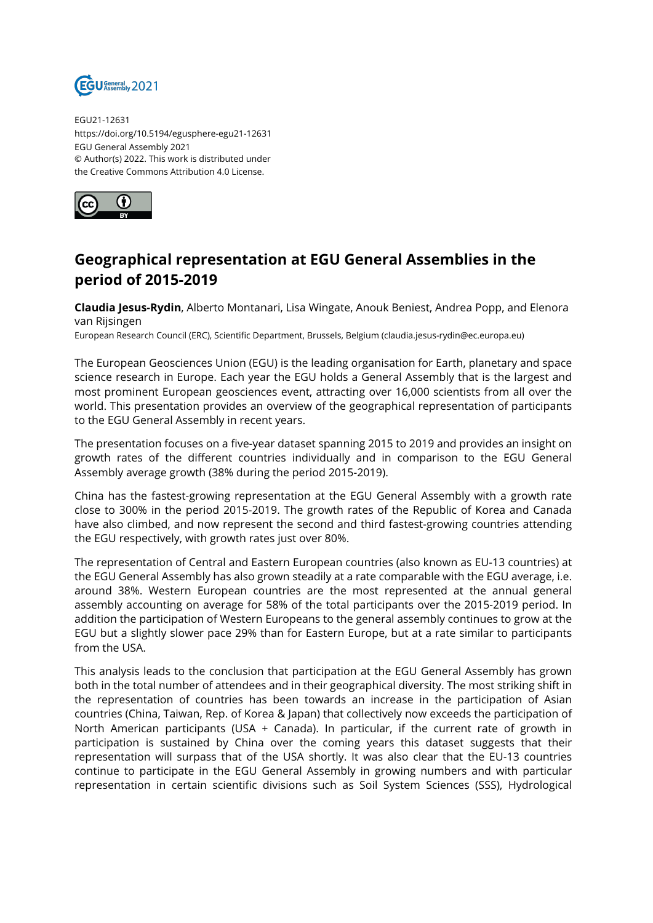

EGU21-12631 https://doi.org/10.5194/egusphere-egu21-12631 EGU General Assembly 2021 © Author(s) 2022. This work is distributed under the Creative Commons Attribution 4.0 License.



## **Geographical representation at EGU General Assemblies in the period of 2015-2019**

**Claudia Jesus-Rydin**, Alberto Montanari, Lisa Wingate, Anouk Beniest, Andrea Popp, and Elenora van Rijsingen

European Research Council (ERC), Scientific Department, Brussels, Belgium (claudia.jesus-rydin@ec.europa.eu)

The European Geosciences Union (EGU) is the leading organisation for Earth, planetary and space science research in Europe. Each year the EGU holds a General Assembly that is the largest and most prominent European geosciences event, attracting over 16,000 scientists from all over the world. This presentation provides an overview of the geographical representation of participants to the EGU General Assembly in recent years.

The presentation focuses on a five-year dataset spanning 2015 to 2019 and provides an insight on growth rates of the different countries individually and in comparison to the EGU General Assembly average growth (38% during the period 2015-2019).

China has the fastest-growing representation at the EGU General Assembly with a growth rate close to 300% in the period 2015-2019. The growth rates of the Republic of Korea and Canada have also climbed, and now represent the second and third fastest-growing countries attending the EGU respectively, with growth rates just over 80%.

The representation of Central and Eastern European countries (also known as EU-13 countries) at the EGU General Assembly has also grown steadily at a rate comparable with the EGU average, i.e. around 38%. Western European countries are the most represented at the annual general assembly accounting on average for 58% of the total participants over the 2015-2019 period. In addition the participation of Western Europeans to the general assembly continues to grow at the EGU but a slightly slower pace 29% than for Eastern Europe, but at a rate similar to participants from the USA.

This analysis leads to the conclusion that participation at the EGU General Assembly has grown both in the total number of attendees and in their geographical diversity. The most striking shift in the representation of countries has been towards an increase in the participation of Asian countries (China, Taiwan, Rep. of Korea & Japan) that collectively now exceeds the participation of North American participants (USA + Canada). In particular, if the current rate of growth in participation is sustained by China over the coming years this dataset suggests that their representation will surpass that of the USA shortly. It was also clear that the EU-13 countries continue to participate in the EGU General Assembly in growing numbers and with particular representation in certain scientific divisions such as Soil System Sciences (SSS), Hydrological